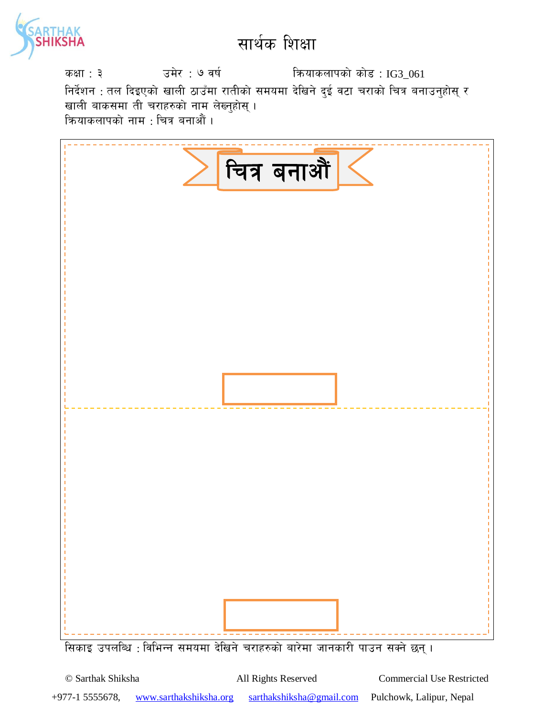

sIff : # pd]/ : & jif{ lqmofsnfksf] sf]8 : IG3\_061 निर्देशन : तल दिइएको खाली ठाउँमा रातीको समयमा देखिने दुई वटा चराको चित्र बनाउनुहोस् र खाली बाकसमा ती चराहरुको नाम ले<mark>ख्नुहोस्</mark> । क्रियाकलापको नाम : चित्र बनाऔं ।

|                                                                                    | चित्र बनाऔँ |  |
|------------------------------------------------------------------------------------|-------------|--|
|                                                                                    |             |  |
|                                                                                    |             |  |
|                                                                                    |             |  |
|                                                                                    |             |  |
|                                                                                    |             |  |
|                                                                                    |             |  |
|                                                                                    |             |  |
|                                                                                    |             |  |
|                                                                                    |             |  |
|                                                                                    |             |  |
|                                                                                    |             |  |
|                                                                                    |             |  |
|                                                                                    |             |  |
|                                                                                    |             |  |
|                                                                                    |             |  |
|                                                                                    |             |  |
|                                                                                    |             |  |
|                                                                                    |             |  |
|                                                                                    |             |  |
|                                                                                    |             |  |
|                                                                                    |             |  |
|                                                                                    |             |  |
|                                                                                    |             |  |
|                                                                                    |             |  |
|                                                                                    |             |  |
|                                                                                    |             |  |
|                                                                                    |             |  |
|                                                                                    |             |  |
|                                                                                    |             |  |
|                                                                                    |             |  |
|                                                                                    |             |  |
|                                                                                    |             |  |
|                                                                                    |             |  |
|                                                                                    |             |  |
|                                                                                    |             |  |
|                                                                                    |             |  |
|                                                                                    |             |  |
|                                                                                    |             |  |
|                                                                                    |             |  |
| गिकार गामकिए , विशिष्य सामग्राम देविये चुसुरुकको वारेमा जानकारी मानव सुन्ने क्रम । |             |  |

।सकाइ उपलाब्ध : विभिन्न समयमा दाखन चराहरुका बारमा जानकारा पाउन सक्न छन् ।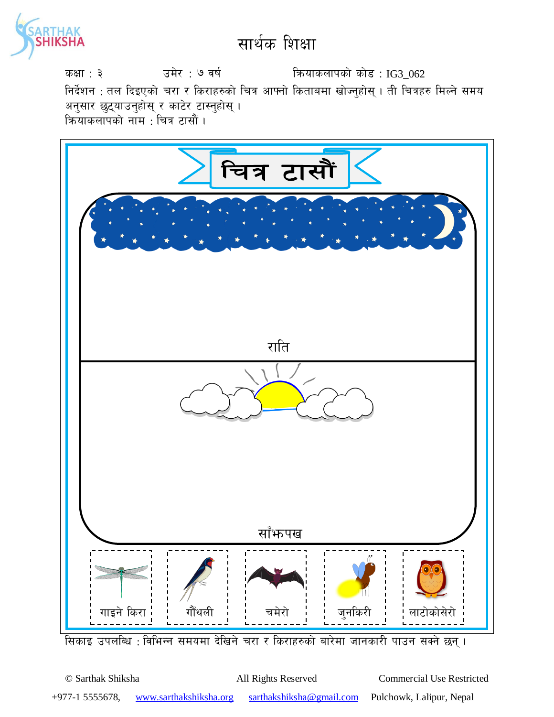

sIff : # pd]/ : & jif{ lqmofsnfksf] sf]8 : IG3\_062 निर्देशन : तल दिइएको चरा र किराहरुको चित्र आफ्नो किताबमा खोज्नुहोस् । ती चित्रहरु मिल्ने समय अनुसार छुट्याउनुहोस् र काटेर टास्नुहोस् । क्रियाकलापको नाम $\,$ : चित्र टासौं ।



सिकाइ उपलब्धि : विभिन्न समयमा देखिने चरा र किराहरुको बारेमा जानकारी पाउन सक्ने छन् ।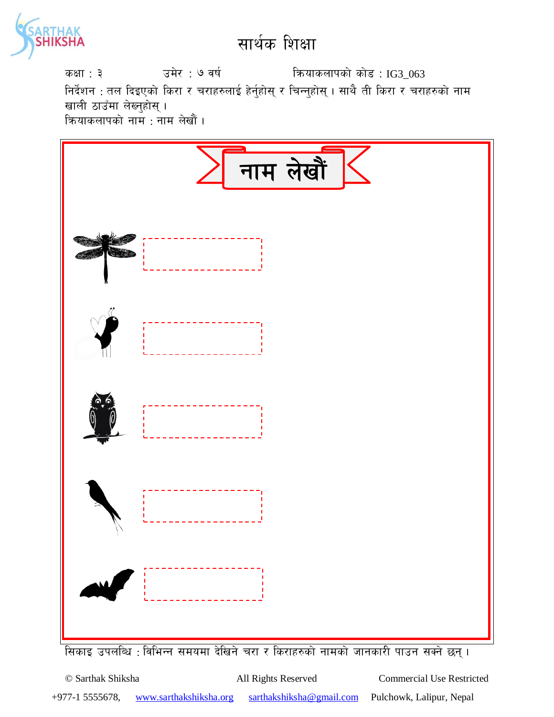

sIff : # pd]/ : & jif{ lqmofsnfksf] sf]8 : IG3\_063 निर्देशन : तल दिइएको किरा र चराहरुलाई हेर्नुहोस् र चिन्नुहोस् । साथै ती किरा र चराहरुको नाम खाली ठाउँमा लेख्नुहोस् । क्रियाकलापको नाम : नाम लेखौं ।



सिकाइ उपलब्धि : विभिन्न समयमा देखिने चरा र किराहरुको नामको जानकारी पाउन सक्ने छन् ।